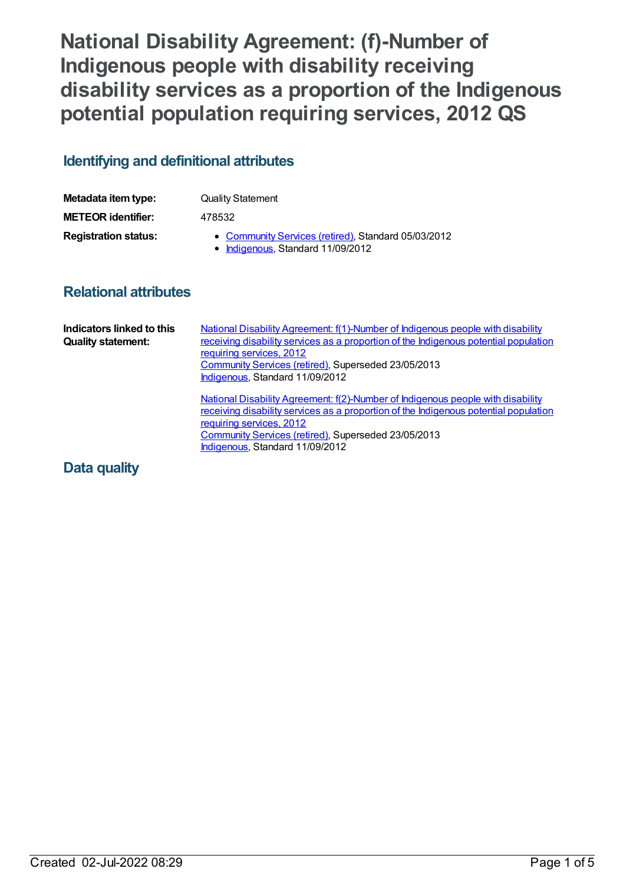# **National Disability Agreement: (f)-Number of Indigenous people with disability receiving disability services as a proportion of the Indigenous potential population requiring services, 2012 QS**

# **Identifying and definitional attributes**

| Metadata item type:         | <b>Quality Statement</b>                                                                 |
|-----------------------------|------------------------------------------------------------------------------------------|
| <b>METEOR identifier:</b>   | 478532                                                                                   |
| <b>Registration status:</b> | • Community Services (retired), Standard 05/03/2012<br>• Indigenous, Standard 11/09/2012 |

### **Relational attributes**

| Indicators linked to this<br><b>Quality statement:</b> | National Disability Agreement: f(1)-Number of Indigenous people with disability<br>receiving disability services as a proportion of the Indigenous potential population<br>requiring services, 2012<br><b>Community Services (retired), Superseded 23/05/2013</b><br>Indigenous, Standard 11/09/2012 |
|--------------------------------------------------------|------------------------------------------------------------------------------------------------------------------------------------------------------------------------------------------------------------------------------------------------------------------------------------------------------|
|                                                        | National Disability Agreement: f(2)-Number of Indigenous people with disability<br>receiving disability services as a proportion of the Indigenous potential population<br>requiring services, 2012<br>Community Services (retired), Superseded 23/05/2013<br>Indigenous, Standard 11/09/2012        |

# **Data quality**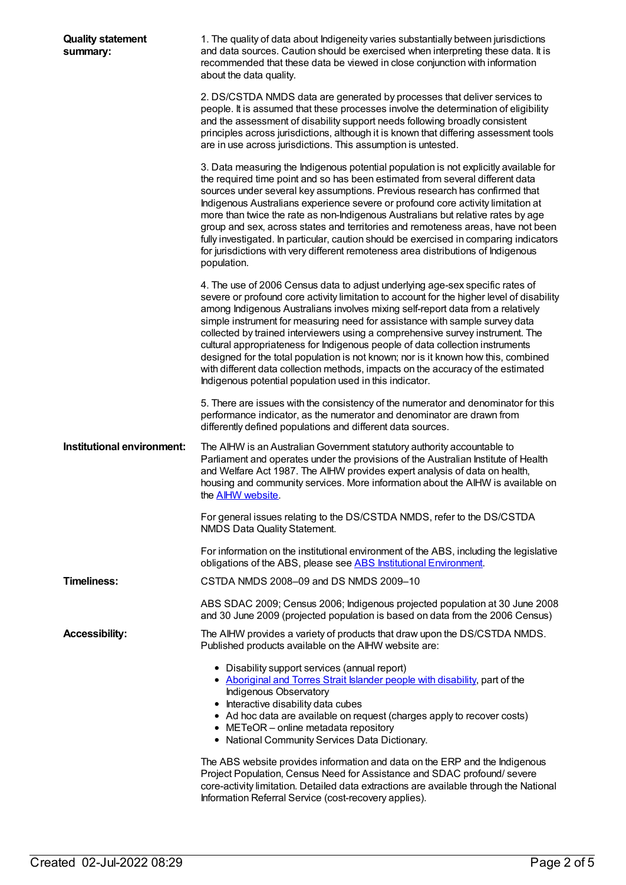| <b>Quality statement</b><br>summary: | 1. The quality of data about Indigeneity varies substantially between jurisdictions<br>and data sources. Caution should be exercised when interpreting these data. It is<br>recommended that these data be viewed in close conjunction with information<br>about the data quality.                                                                                                                                                                                                                                                                                                                                                                                                                                                                   |
|--------------------------------------|------------------------------------------------------------------------------------------------------------------------------------------------------------------------------------------------------------------------------------------------------------------------------------------------------------------------------------------------------------------------------------------------------------------------------------------------------------------------------------------------------------------------------------------------------------------------------------------------------------------------------------------------------------------------------------------------------------------------------------------------------|
|                                      | 2. DS/CSTDA NMDS data are generated by processes that deliver services to<br>people. It is assumed that these processes involve the determination of eligibility<br>and the assessment of disability support needs following broadly consistent<br>principles across jurisdictions, although it is known that differing assessment tools<br>are in use across jurisdictions. This assumption is untested.                                                                                                                                                                                                                                                                                                                                            |
|                                      | 3. Data measuring the Indigenous potential population is not explicitly available for<br>the required time point and so has been estimated from several different data<br>sources under several key assumptions. Previous research has confirmed that<br>Indigenous Australians experience severe or profound core activity limitation at<br>more than twice the rate as non-Indigenous Australians but relative rates by age<br>group and sex, across states and territories and remoteness areas, have not been<br>fully investigated. In particular, caution should be exercised in comparing indicators<br>for jurisdictions with very different remoteness area distributions of Indigenous<br>population.                                      |
|                                      | 4. The use of 2006 Census data to adjust underlying age-sex specific rates of<br>severe or profound core activity limitation to account for the higher level of disability<br>among Indigenous Australians involves mixing self-report data from a relatively<br>simple instrument for measuring need for assistance with sample survey data<br>collected by trained interviewers using a comprehensive survey instrument. The<br>cultural appropriateness for Indigenous people of data collection instruments<br>designed for the total population is not known; nor is it known how this, combined<br>with different data collection methods, impacts on the accuracy of the estimated<br>Indigenous potential population used in this indicator. |
|                                      | 5. There are issues with the consistency of the numerator and denominator for this<br>performance indicator, as the numerator and denominator are drawn from<br>differently defined populations and different data sources.                                                                                                                                                                                                                                                                                                                                                                                                                                                                                                                          |
| Institutional environment:           | The AIHW is an Australian Government statutory authority accountable to<br>Parliament and operates under the provisions of the Australian Institute of Health<br>and Welfare Act 1987. The AIHW provides expert analysis of data on health,<br>housing and community services. More information about the AIHW is available on<br>the <b>AIHW</b> website.                                                                                                                                                                                                                                                                                                                                                                                           |
|                                      | For general issues relating to the DS/CSTDA NMDS, refer to the DS/CSTDA<br>NMDS Data Quality Statement.                                                                                                                                                                                                                                                                                                                                                                                                                                                                                                                                                                                                                                              |
|                                      | For information on the institutional environment of the ABS, including the legislative<br>obligations of the ABS, please see ABS Institutional Environment.                                                                                                                                                                                                                                                                                                                                                                                                                                                                                                                                                                                          |
| <b>Timeliness:</b>                   | CSTDA NMDS 2008-09 and DS NMDS 2009-10                                                                                                                                                                                                                                                                                                                                                                                                                                                                                                                                                                                                                                                                                                               |
|                                      | ABS SDAC 2009; Census 2006; Indigenous projected population at 30 June 2008<br>and 30 June 2009 (projected population is based on data from the 2006 Census)                                                                                                                                                                                                                                                                                                                                                                                                                                                                                                                                                                                         |
| <b>Accessibility:</b>                | The AIHW provides a variety of products that draw upon the DS/CSTDA NMDS.<br>Published products available on the AIHW website are:                                                                                                                                                                                                                                                                                                                                                                                                                                                                                                                                                                                                                   |
|                                      | • Disability support services (annual report)<br>• Aboriginal and Torres Strait Islander people with disability, part of the<br>Indigenous Observatory<br>• Interactive disability data cubes<br>• Ad hoc data are available on request (charges apply to recover costs)<br>• METeOR - online metadata repository<br>• National Community Services Data Dictionary.<br>The ABS website provides information and data on the ERP and the Indigenous                                                                                                                                                                                                                                                                                                   |
|                                      | Project Population, Census Need for Assistance and SDAC profound/severe<br>core-activity limitation. Detailed data extractions are available through the National<br>Information Referral Service (cost-recovery applies).                                                                                                                                                                                                                                                                                                                                                                                                                                                                                                                           |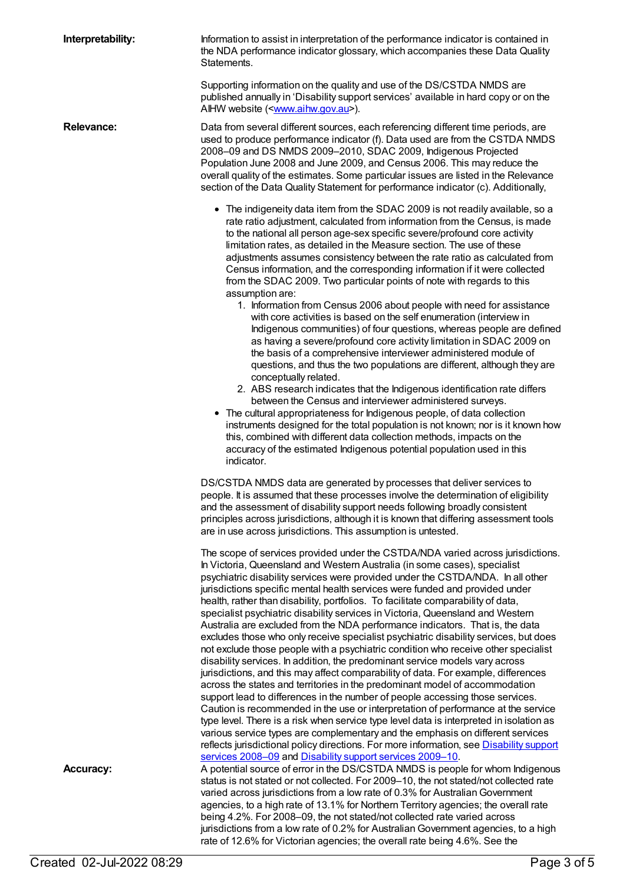**Interpretability:** Information to assist in interpretation of the performance indicator is contained in the NDA performance indicator glossary, which accompanies these Data Quality Statements.

> Supporting information on the quality and use of the DS/CSTDA NMDS are published annually in 'Disability support services' available in hard copy or on the AIHW website ([<www.aihw.gov.au](http://www.aihw.gov.au/)>).

**Relevance:** Data from several different sources, each referencing different time periods, are used to produce performance indicator (f). Data used are from the CSTDA NMDS 2008–09 and DS NMDS 2009–2010, SDAC 2009, Indigenous Projected Population June 2008 and June 2009, and Census 2006. This may reduce the overall quality of the estimates. Some particular issues are listed in the Relevance section of the Data Quality Statement for performance indicator (c). Additionally,

- The indigeneity data item from the SDAC 2009 is not readily available, so a rate ratio adjustment, calculated from information from the Census, is made to the national all person age-sex specific severe/profound core activity limitation rates, as detailed in the Measure section. The use of these adjustments assumes consistency between the rate ratio as calculated from Census information, and the corresponding information if it were collected from the SDAC 2009. Two particular points of note with regards to this assumption are:
	- 1. Information from Census 2006 about people with need for assistance with core activities is based on the self enumeration (interview in Indigenous communities) of four questions, whereas people are defined as having a severe/profound core activity limitation in SDAC 2009 on the basis of a comprehensive interviewer administered module of questions, and thus the two populations are different, although they are conceptually related.
	- 2. ABS research indicates that the Indigenous identification rate differs between the Census and interviewer administered surveys.
- The cultural appropriateness for Indigenous people, of data collection instruments designed for the total population is not known; nor is it known how this, combined with different data collection methods, impacts on the accuracy of the estimated Indigenous potential population used in this indicator.

DS/CSTDA NMDS data are generated by processes that deliver services to people. It is assumed that these processes involve the determination of eligibility and the assessment of disability support needs following broadly consistent principles across jurisdictions, although it is known that differing assessment tools are in use across jurisdictions. This assumption is untested.

The scope of services provided under the CSTDA/NDA varied across jurisdictions. In Victoria, Queensland and Western Australia (in some cases), specialist psychiatric disability services were provided under the CSTDA/NDA. In all other jurisdictions specific mental health services were funded and provided under health, rather than disability, portfolios. To facilitate comparability of data, specialist psychiatric disability services in Victoria, Queensland and Western Australia are excluded from the NDA performance indicators. That is, the data excludes those who only receive specialist psychiatric disability services, but does not exclude those people with a psychiatric condition who receive other specialist disability services. In addition, the predominant service models vary across jurisdictions, and this may affect comparability of data. For example, differences across the states and territories in the predominant model of accommodation support lead to differences in the number of people accessing those services. Caution is recommended in the use or interpretation of performance at the service type level. There is a risk when service type level data is interpreted in isolation as various service types are complementary and the emphasis on different services reflects [jurisdictional](http://www.aihw.gov.au/disability-publications/) policy directions. For more information, see **Disability support** services 2008–09 and [Disability](http://www.aihw.gov.au/disability-publications/) support services 2009–10. **Accuracy:** A potential source of error in the DS/CSTDA NMDS is people for whom Indigenous

status is not stated or not collected. For 2009–10, the not stated/not collected rate varied across jurisdictions from a low rate of 0.3% for AustralianGovernment agencies, to a high rate of 13.1% for Northern Territory agencies; the overall rate being 4.2%. For 2008–09, the not stated/not collected rate varied across jurisdictions from a low rate of 0.2% for AustralianGovernment agencies, to a high rate of 12.6% for Victorian agencies; the overall rate being 4.6%. See the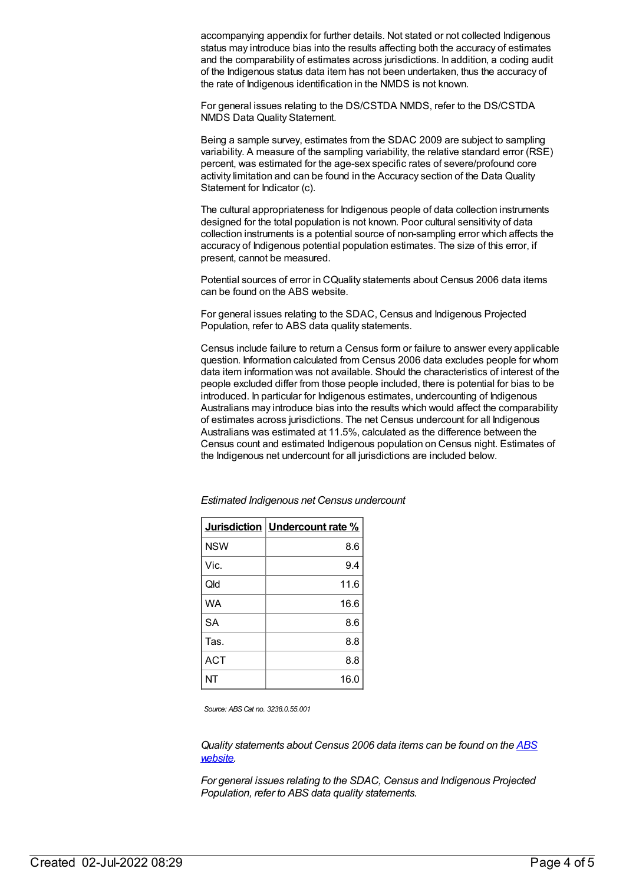accompanying appendix for further details. Not stated or not collected Indigenous status may introduce bias into the results affecting both the accuracy of estimates and the comparability of estimates across jurisdictions. In addition, a coding audit of the Indigenous status data item has not been undertaken, thus the accuracy of the rate of Indigenous identification in the NMDS is not known.

For general issues relating to the DS/CSTDA NMDS, refer to the DS/CSTDA NMDS Data Quality Statement.

Being a sample survey, estimates from the SDAC 2009 are subject to sampling variability. A measure of the sampling variability, the relative standard error (RSE) percent, was estimated for the age-sex specific rates of severe/profound core activity limitation and can be found in the Accuracy section of the Data Quality Statement for Indicator (c).

The cultural appropriateness for Indigenous people of data collection instruments designed for the total population is not known. Poor cultural sensitivity of data collection instruments is a potential source of non-sampling error which affects the accuracy of Indigenous potential population estimates. The size of this error, if present, cannot be measured.

Potential sources of error in CQuality statements about Census 2006 data items can be found on the ABS website.

For general issues relating to the SDAC, Census and Indigenous Projected Population, refer to ABS data quality statements.

Census include failure to return a Census form or failure to answer every applicable question. Information calculated from Census 2006 data excludes people for whom data item information was not available. Should the characteristics of interest of the people excluded differ from those people included, there is potential for bias to be introduced. In particular for Indigenous estimates, undercounting of Indigenous Australians may introduce bias into the results which would affect the comparability of estimates across jurisdictions. The net Census undercount for all Indigenous Australians was estimated at 11.5%, calculated as the difference between the Census count and estimated Indigenous population on Census night. Estimates of the Indigenous net undercount for all jurisdictions are included below.

|            | Jurisdiction   Undercount rate % |
|------------|----------------------------------|
| <b>NSW</b> | 8.6                              |
| Vic.       | 9.4                              |
| Qld        | 11.6                             |
| <b>WA</b>  | 16.6                             |
| <b>SA</b>  | 8.6                              |
| Tas.       | 8.8                              |
| <b>ACT</b> | 8.8                              |
| NT         | 16.0                             |

*Estimated Indigenous net Census undercount*

*Source: ABS Cat no. 3238.0.55.001*

*Quality [statements](http://www.abs.gov.au/) about Census 2006 data items can be found on the ABS website.*

*For general issues relating to the SDAC, Census and Indigenous Projected Population, refer to ABS data quality statements.*